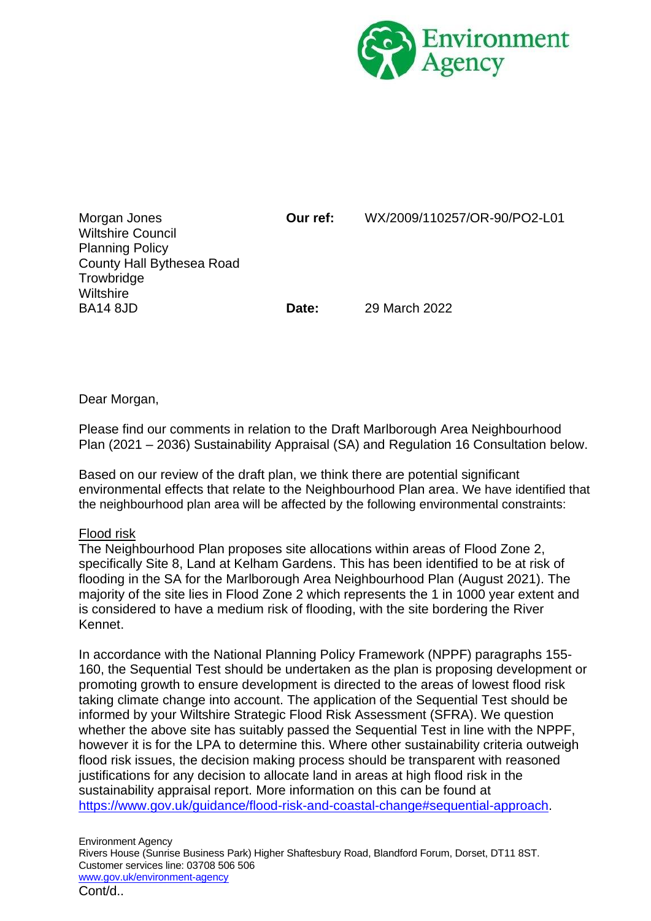

| Morgan Jones<br><b>Wiltshire Council</b><br><b>Planning Policy</b><br>County Hall Bythesea Road<br>Trowbridge<br><b>Wiltshire</b> | Our ref: | WX/2009/110257/OR-90/PO2-L01 |
|-----------------------------------------------------------------------------------------------------------------------------------|----------|------------------------------|
| <b>BA14 8JD</b>                                                                                                                   | Date:    | 29 March 2022                |

Dear Morgan,

Please find our comments in relation to the Draft Marlborough Area Neighbourhood Plan (2021 – 2036) Sustainability Appraisal (SA) and Regulation 16 Consultation below.

Based on our review of the draft plan, we think there are potential significant environmental effects that relate to the Neighbourhood Plan area. We have identified that the neighbourhood plan area will be affected by the following environmental constraints:

# Flood risk

The Neighbourhood Plan proposes site allocations within areas of Flood Zone 2, specifically Site 8, Land at Kelham Gardens. This has been identified to be at risk of flooding in the SA for the Marlborough Area Neighbourhood Plan (August 2021). The majority of the site lies in Flood Zone 2 which represents the 1 in 1000 year extent and is considered to have a medium risk of flooding, with the site bordering the River Kennet.

In accordance with the National Planning Policy Framework (NPPF) paragraphs 155- 160, the Sequential Test should be undertaken as the plan is proposing development or promoting growth to ensure development is directed to the areas of lowest flood risk taking climate change into account. The application of the Sequential Test should be informed by your Wiltshire Strategic Flood Risk Assessment (SFRA). We question whether the above site has suitably passed the Sequential Test in line with the NPPF, however it is for the LPA to determine this. Where other sustainability criteria outweigh flood risk issues, the decision making process should be transparent with reasoned justifications for any decision to allocate land in areas at high flood risk in the sustainability appraisal report. More information on this can be found at [https://www.gov.uk/guidance/flood-risk-and-coastal-change#sequential-approach.](https://www.gov.uk/guidance/flood-risk-and-coastal-change#sequential-approach)

Environment Agency Rivers House (Sunrise Business Park) Higher Shaftesbury Road, Blandford Forum, Dorset, DT11 8ST. Customer services line: 03708 506 506 [www.gov.uk/environment-agency](http://www.gov.uk/environment-agency) Cont/d..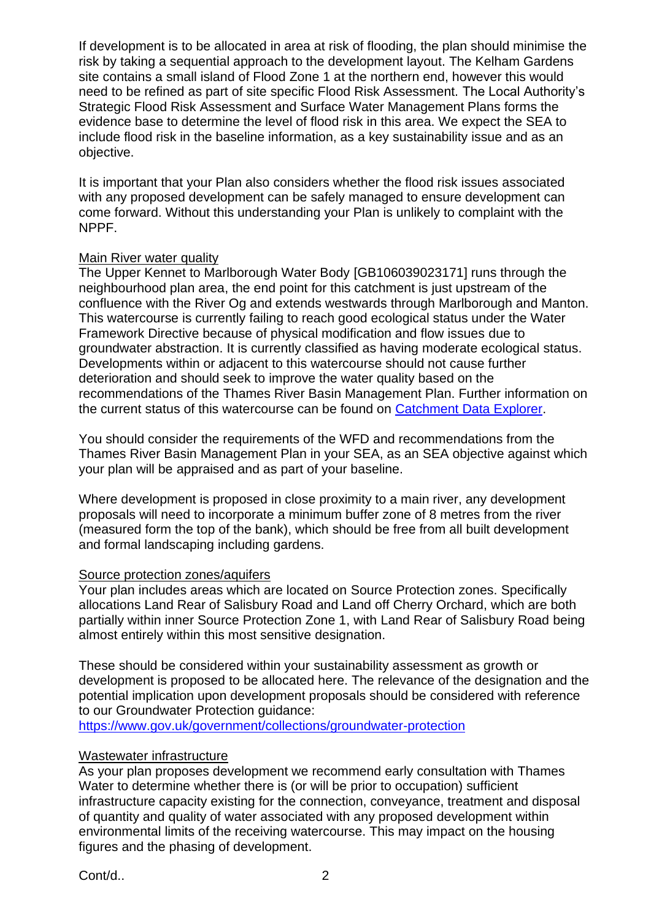If development is to be allocated in area at risk of flooding, the plan should minimise the risk by taking a sequential approach to the development layout. The Kelham Gardens site contains a small island of Flood Zone 1 at the northern end, however this would need to be refined as part of site specific Flood Risk Assessment. The Local Authority's Strategic Flood Risk Assessment and Surface Water Management Plans forms the evidence base to determine the level of flood risk in this area. We expect the SEA to include flood risk in the baseline information, as a key sustainability issue and as an objective.

It is important that your Plan also considers whether the flood risk issues associated with any proposed development can be safely managed to ensure development can come forward. Without this understanding your Plan is unlikely to complaint with the NPPF.

# Main River water quality

The Upper Kennet to Marlborough Water Body [GB106039023171] runs through the neighbourhood plan area, the end point for this catchment is just upstream of the confluence with the River Og and extends westwards through Marlborough and Manton. This watercourse is currently failing to reach good ecological status under the Water Framework Directive because of physical modification and flow issues due to groundwater abstraction. It is currently classified as having moderate ecological status. Developments within or adjacent to this watercourse should not cause further deterioration and should seek to improve the water quality based on the recommendations of the Thames River Basin Management Plan. Further information on the current status of this watercourse can be found on [Catchment Data Explorer.](https://environment.data.gov.uk/catchment-planning/v/c3-draft-plan/WaterBody/GB106039023171)

You should consider the requirements of the WFD and recommendations from the Thames River Basin Management Plan in your SEA, as an SEA objective against which your plan will be appraised and as part of your baseline.

Where development is proposed in close proximity to a main river, any development proposals will need to incorporate a minimum buffer zone of 8 metres from the river (measured form the top of the bank), which should be free from all built development and formal landscaping including gardens.

### Source protection zones/aquifers

Your plan includes areas which are located on Source Protection zones. Specifically allocations Land Rear of Salisbury Road and Land off Cherry Orchard, which are both partially within inner Source Protection Zone 1, with Land Rear of Salisbury Road being almost entirely within this most sensitive designation.

These should be considered within your sustainability assessment as growth or development is proposed to be allocated here. The relevance of the designation and the potential implication upon development proposals should be considered with reference to our Groundwater Protection guidance:

<https://www.gov.uk/government/collections/groundwater-protection>

# Wastewater infrastructure

As your plan proposes development we recommend early consultation with Thames Water to determine whether there is (or will be prior to occupation) sufficient infrastructure capacity existing for the connection, conveyance, treatment and disposal of quantity and quality of water associated with any proposed development within environmental limits of the receiving watercourse. This may impact on the housing figures and the phasing of development.